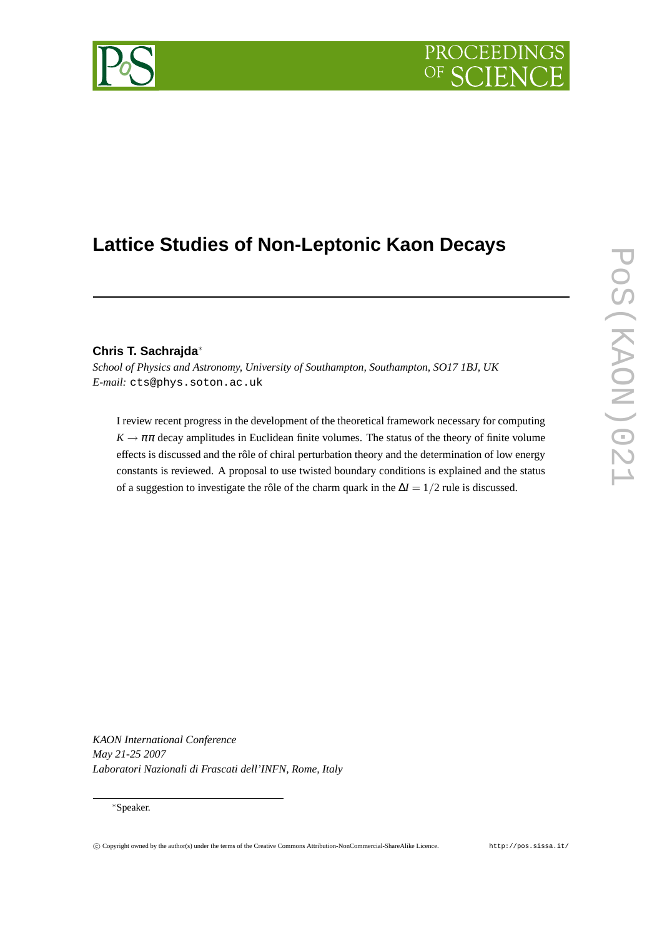# PROCEEDIN

## **Lattice Studies of Non-Leptonic Kaon Decays**

### **Chris T. Sachrajda**<sup>∗</sup>

*School of Physics and Astronomy, University of Southampton, Southampton, SO17 1BJ, UK E-mail:* cts@phys.soton.ac.uk

I review recent progress in the development of the theoretical framework necessary for computing  $K \to \pi \pi$  decay amplitudes in Euclidean finite volumes. The status of the theory of finite volume effects is discussed and the rôle of chiral perturbation theory and the determination of low energy constants is reviewed. A proposal to use twisted boundary conditions is explained and the status of a suggestion to investigate the rôle of the charm quark in the ∆*I* = 1/2 rule is discussed.

*KAON International Conference May 21-25 2007 Laboratori Nazionali di Frascati dell'INFN, Rome, Italy*

#### <sup>∗</sup>Speaker.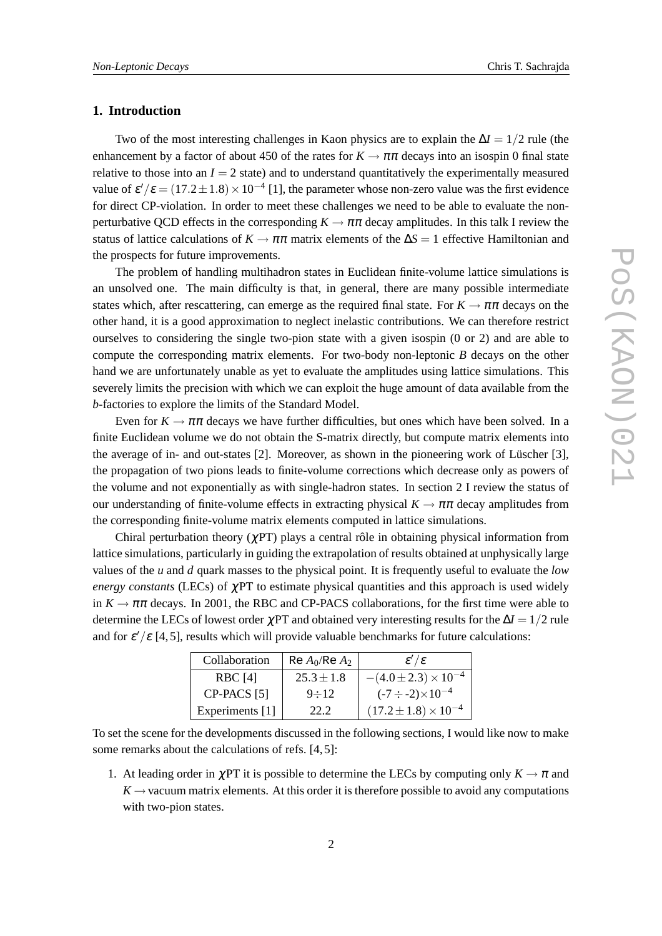#### **1. Introduction**

Two of the most interesting challenges in Kaon physics are to explain the ∆*I* = 1/2 rule (the enhancement by a factor of about 450 of the rates for  $K \to \pi \pi$  decays into an isospin 0 final state relative to those into an  $I = 2$  state) and to understand quantitatively the experimentally measured value of  $\epsilon'/\epsilon = (17.2 \pm 1.8) \times 10^{-4}$  [1], the parameter whose non-zero value was the first evidence for direct CP-violation. In order to meet these challenges we need to be able to evaluate the nonperturbative QCD effects in the corresponding  $K \to \pi \pi$  decay amplitudes. In this talk I review the status of lattice calculations of  $K \to \pi \pi$  matrix elements of the  $\Delta S = 1$  effective Hamiltonian and the prospects for future improvements.

The problem of handling multihadron states in Euclidean finite-volume lattice simulations is an unsolved one. The main difficulty is that, in general, there are many possible intermediate states which, after rescattering, can emerge as the required final state. For  $K \to \pi \pi$  decays on the other hand, it is a good approximation to neglect inelastic contributions. We can therefore restrict ourselves to considering the single two-pion state with a given isospin (0 or 2) and are able to compute the corresponding matrix elements. For two-body non-leptonic *B* decays on the other hand we are unfortunately unable as yet to evaluate the amplitudes using lattice simulations. This severely limits the precision with which we can exploit the huge amount of data available from the *b*-factories to explore the limits of the Standard Model.

Even for  $K \to \pi \pi$  decays we have further difficulties, but ones which have been solved. In a finite Euclidean volume we do not obtain the S-matrix directly, but compute matrix elements into the average of in- and out-states [2]. Moreover, as shown in the pioneering work of Lüscher [3], the propagation of two pions leads to finite-volume corrections which decrease only as powers of the volume and not exponentially as with single-hadron states. In section 2 I review the status of our understanding of finite-volume effects in extracting physical  $K \to \pi \pi$  decay amplitudes from the corresponding finite-volume matrix elements computed in lattice simulations.

Chiral perturbation theory ( $\chi PT$ ) plays a central rôle in obtaining physical information from lattice simulations, particularly in guiding the extrapolation of results obtained at unphysically large values of the *u* and *d* quark masses to the physical point. It is frequently useful to evaluate the *low energy constants* (LECs) of χPT to estimate physical quantities and this approach is used widely in  $K \to \pi \pi$  decays. In 2001, the RBC and CP-PACS collaborations, for the first time were able to determine the LECs of lowest order  $\chi$ PT and obtained very interesting results for the  $\Delta I = 1/2$  rule and for  $\varepsilon'/\varepsilon$  [4, 5], results which will provide valuable benchmarks for future calculations:

| Collaboration   | Re $A_0$ /Re $A_2$ | $\varepsilon'/\varepsilon$      |
|-----------------|--------------------|---------------------------------|
| <b>RBC</b> [4]  | $25.3 \pm 1.8$     | $-(4.0 \pm 2.3) \times 10^{-4}$ |
| CP-PACS [5]     | $9 \div 12$        | $(-7 \div -2) \times 10^{-4}$   |
| Experiments [1] | 22.2               | $(17.2 \pm 1.8) \times 10^{-4}$ |

To set the scene for the developments discussed in the following sections, I would like now to make some remarks about the calculations of refs. [4, 5]:

1. At leading order in  $\gamma PT$  it is possible to determine the LECs by computing only  $K \to \pi$  and  $K \rightarrow$  vacuum matrix elements. At this order it is therefore possible to avoid any computations with two-pion states.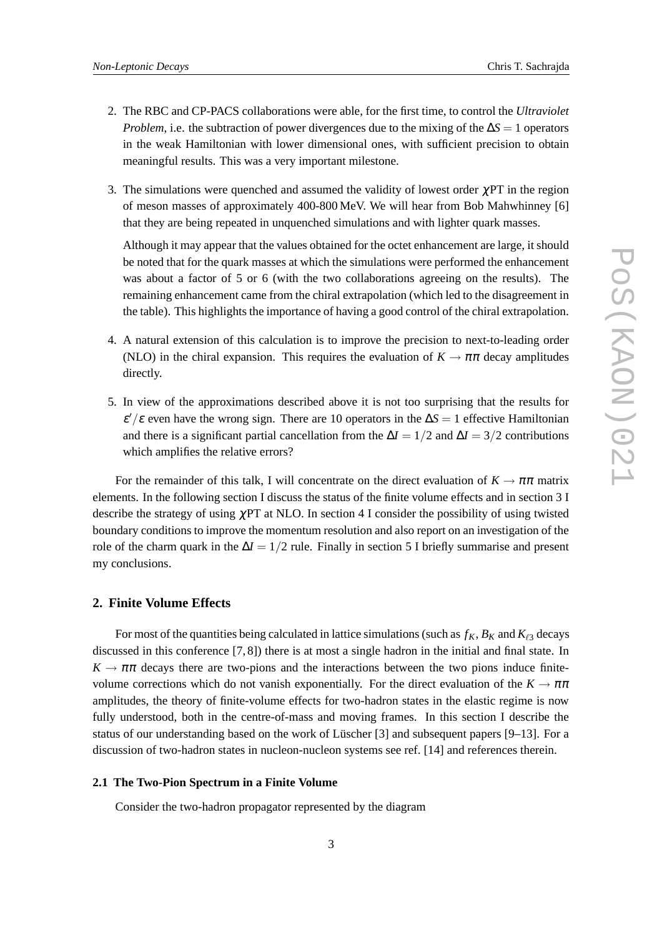- 2. The RBC and CP-PACS collaborations were able, for the first time, to control the *Ultraviolet Problem*, i.e. the subtraction of power divergences due to the mixing of the ∆*S* = 1 operators in the weak Hamiltonian with lower dimensional ones, with sufficient precision to obtain meaningful results. This was a very important milestone.
- 3. The simulations were quenched and assumed the validity of lowest order  $\gamma PT$  in the region of meson masses of approximately 400-800 MeV. We will hear from Bob Mahwhinney [6] that they are being repeated in unquenched simulations and with lighter quark masses.

Although it may appear that the values obtained for the octet enhancement are large, it should be noted that for the quark masses at which the simulations were performed the enhancement was about a factor of 5 or 6 (with the two collaborations agreeing on the results). The remaining enhancement came from the chiral extrapolation (which led to the disagreement in the table). This highlights the importance of having a good control of the chiral extrapolation.

- 4. A natural extension of this calculation is to improve the precision to next-to-leading order (NLO) in the chiral expansion. This requires the evaluation of  $K \to \pi \pi$  decay amplitudes directly.
- 5. In view of the approximations described above it is not too surprising that the results for  $\varepsilon'$ / $\varepsilon$  even have the wrong sign. There are 10 operators in the  $\Delta S = 1$  effective Hamiltonian and there is a significant partial cancellation from the  $\Delta I = 1/2$  and  $\Delta I = 3/2$  contributions which amplifies the relative errors?

For the remainder of this talk, I will concentrate on the direct evaluation of  $K \to \pi \pi$  matrix elements. In the following section I discuss the status of the finite volume effects and in section 3 I describe the strategy of using χPT at NLO. In section 4 I consider the possibility of using twisted boundary conditions to improve the momentum resolution and also report on an investigation of the role of the charm quark in the ∆*I* = 1/2 rule. Finally in section 5 I briefly summarise and present my conclusions.

#### **2. Finite Volume Effects**

For most of the quantities being calculated in lattice simulations (such as  $f_K$ ,  $B_K$  and  $K_{\ell 3}$  decays discussed in this conference [7, 8]) there is at most a single hadron in the initial and final state. In  $K \to \pi \pi$  decays there are two-pions and the interactions between the two pions induce finitevolume corrections which do not vanish exponentially. For the direct evaluation of the  $K \to \pi \pi$ amplitudes, the theory of finite-volume effects for two-hadron states in the elastic regime is now fully understood, both in the centre-of-mass and moving frames. In this section I describe the status of our understanding based on the work of Lüscher [3] and subsequent papers [9–13]. For a discussion of two-hadron states in nucleon-nucleon systems see ref. [14] and references therein.

#### **2.1 The Two-Pion Spectrum in a Finite Volume**

Consider the two-hadron propagator represented by the diagram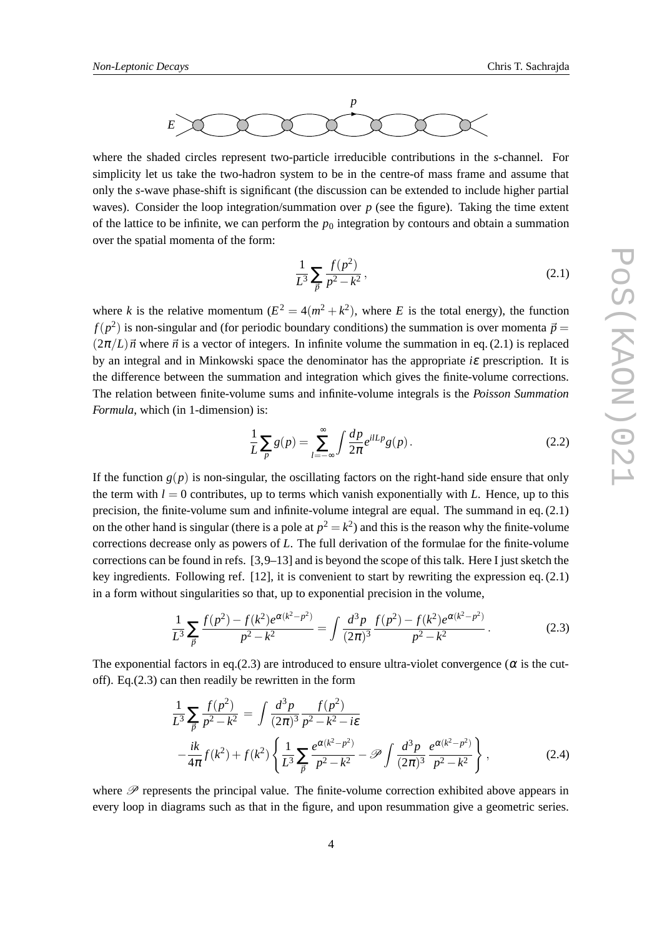

where the shaded circles represent two-particle irreducible contributions in the *s*-channel. For simplicity let us take the two-hadron system to be in the centre-of mass frame and assume that only the *s*-wave phase-shift is significant (the discussion can be extended to include higher partial waves). Consider the loop integration/summation over *p* (see the figure). Taking the time extent of the lattice to be infinite, we can perform the  $p_0$  integration by contours and obtain a summation over the spatial momenta of the form:

$$
\frac{1}{L^3} \sum_{\vec{p}} \frac{f(p^2)}{p^2 - k^2},\tag{2.1}
$$

where *k* is the relative momentum  $(E^2 = 4(m^2 + k^2))$ , where *E* is the total energy), the function  $f(p^2)$  is non-singular and (for periodic boundary conditions) the summation is over momenta  $\vec{p} =$  $(2\pi/L)\vec{n}$  where  $\vec{n}$  is a vector of integers. In infinite volume the summation in eq. (2.1) is replaced by an integral and in Minkowski space the denominator has the appropriate *i*<sup>ε</sup> prescription. It is the difference between the summation and integration which gives the finite-volume corrections. The relation between finite-volume sums and infinite-volume integrals is the *Poisson Summation Formula*, which (in 1-dimension) is:

$$
\frac{1}{L}\sum_{p}g(p) = \sum_{l=-\infty}^{\infty} \int \frac{dp}{2\pi} e^{ilLp}g(p).
$$
\n(2.2)

If the function  $g(p)$  is non-singular, the oscillating factors on the right-hand side ensure that only the term with  $l = 0$  contributes, up to terms which vanish exponentially with *L*. Hence, up to this precision, the finite-volume sum and infinite-volume integral are equal. The summand in eq. (2.1) on the other hand is singular (there is a pole at  $p^2 = k^2$ ) and this is the reason why the finite-volume corrections decrease only as powers of *L*. The full derivation of the formulae for the finite-volume corrections can be found in refs. [3,9–13] and is beyond the scope of this talk. Here I just sketch the key ingredients. Following ref. [12], it is convenient to start by rewriting the expression eq. (2.1) in a form without singularities so that, up to exponential precision in the volume,

$$
\frac{1}{L^3} \sum_{\vec{p}} \frac{f(p^2) - f(k^2)e^{\alpha(k^2 - p^2)}}{p^2 - k^2} = \int \frac{d^3p}{(2\pi)^3} \frac{f(p^2) - f(k^2)e^{\alpha(k^2 - p^2)}}{p^2 - k^2}.
$$
\n(2.3)

The exponential factors in eq.(2.3) are introduced to ensure ultra-violet convergence ( $\alpha$  is the cutoff). Eq.(2.3) can then readily be rewritten in the form

$$
\frac{1}{L^3} \sum_{\vec{p}} \frac{f(p^2)}{p^2 - k^2} = \int \frac{d^3 p}{(2\pi)^3} \frac{f(p^2)}{p^2 - k^2 - i\varepsilon} \n- \frac{ik}{4\pi} f(k^2) + f(k^2) \left\{ \frac{1}{L^3} \sum_{\vec{p}} \frac{e^{\alpha(k^2 - p^2)}}{p^2 - k^2} - \mathcal{P} \int \frac{d^3 p}{(2\pi)^3} \frac{e^{\alpha(k^2 - p^2)}}{p^2 - k^2} \right\},
$$
\n(2.4)

where  $\mathscr P$  represents the principal value. The finite-volume correction exhibited above appears in every loop in diagrams such as that in the figure, and upon resummation give a geometric series.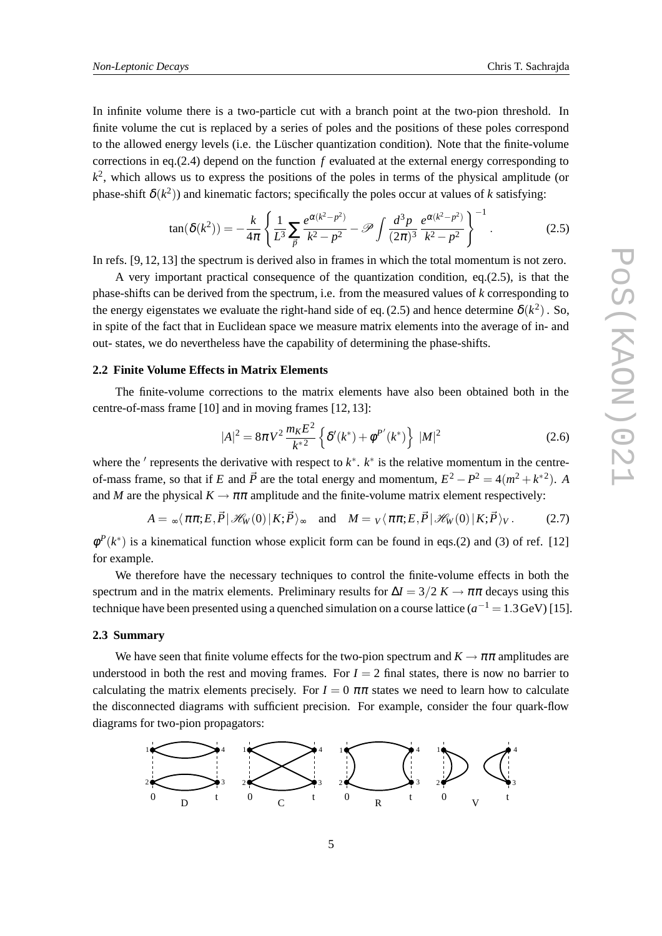In infinite volume there is a two-particle cut with a branch point at the two-pion threshold. In finite volume the cut is replaced by a series of poles and the positions of these poles correspond to the allowed energy levels (i.e. the Lüscher quantization condition). Note that the finite-volume corrections in eq.(2.4) depend on the function *f* evaluated at the external energy corresponding to  $k^2$ , which allows us to express the positions of the poles in terms of the physical amplitude (or phase-shift  $\delta(k^2)$ ) and kinematic factors; specifically the poles occur at values of *k* satisfying:

$$
\tan(\delta(k^2)) = -\frac{k}{4\pi} \left\{ \frac{1}{L^3} \sum_{\vec{p}} \frac{e^{\alpha(k^2 - p^2)}}{k^2 - p^2} - \mathcal{P} \int \frac{d^3 p}{(2\pi)^3} \frac{e^{\alpha(k^2 - p^2)}}{k^2 - p^2} \right\}^{-1}.
$$
 (2.5)

In refs. [9, 12, 13] the spectrum is derived also in frames in which the total momentum is not zero.

A very important practical consequence of the quantization condition, eq.(2.5), is that the phase-shifts can be derived from the spectrum, i.e. from the measured values of *k* corresponding to the energy eigenstates we evaluate the right-hand side of eq.  $(2.5)$  and hence determine  $\delta(k^2)$ . So, in spite of the fact that in Euclidean space we measure matrix elements into the average of in- and out- states, we do nevertheless have the capability of determining the phase-shifts.

#### **2.2 Finite Volume Effects in Matrix Elements**

The finite-volume corrections to the matrix elements have also been obtained both in the centre-of-mass frame [10] and in moving frames [12, 13]:

$$
|A|^2 = 8\pi V^2 \frac{m_K E^2}{k^{*2}} \left\{ \delta'(k^*) + \phi^{P'}(k^*) \right\} |M|^2 \tag{2.6}
$$

where the  $\prime$  represents the derivative with respect to  $k^*$ .  $k^*$  is the relative momentum in the centreof-mass frame, so that if *E* and  $\vec{P}$  are the total energy and momentum,  $E^2 - P^2 = 4(m^2 + k^{*2})$ . *A* and *M* are the physical  $K \to \pi \pi$  amplitude and the finite-volume matrix element respectively:

$$
A = \sqrt{\pi \pi} \mathbb{E} \left[ \mathcal{H}_W(0) \, \middle| \, K; \vec{P} \right] \sim \text{ and } M = \sqrt{\pi \pi} \mathbb{E} \left[ \mathcal{H}_W(0) \, \middle| \, K; \vec{P} \right] \gamma. \tag{2.7}
$$

 $\phi^P(k^*)$  is a kinematical function whose explicit form can be found in eqs.(2) and (3) of ref. [12] for example.

We therefore have the necessary techniques to control the finite-volume effects in both the spectrum and in the matrix elements. Preliminary results for  $\Delta I = 3/2 K \rightarrow \pi \pi$  decays using this technique have been presented using a quenched simulation on a course lattice  $(a^{-1} = 1.3 \text{ GeV})$  [15].

#### **2.3 Summary**

We have seen that finite volume effects for the two-pion spectrum and  $K \to \pi \pi$  amplitudes are understood in both the rest and moving frames. For  $I = 2$  final states, there is now no barrier to calculating the matrix elements precisely. For  $I = 0 \pi \pi$  states we need to learn how to calculate the disconnected diagrams with sufficient precision. For example, consider the four quark-flow diagrams for two-pion propagators:

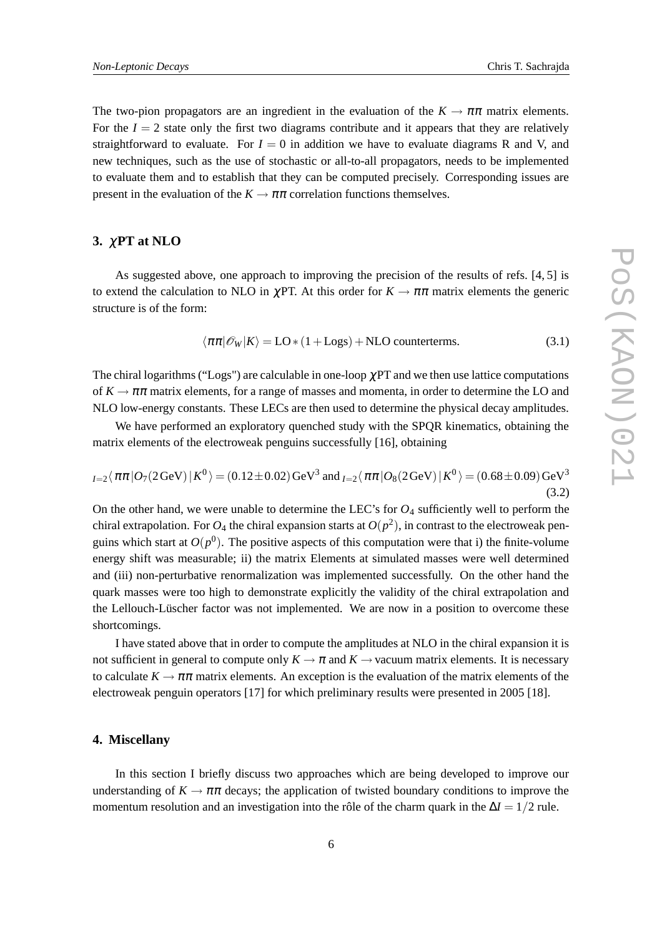The two-pion propagators are an ingredient in the evaluation of the  $K \to \pi \pi$  matrix elements. For the  $I = 2$  state only the first two diagrams contribute and it appears that they are relatively straightforward to evaluate. For  $I = 0$  in addition we have to evaluate diagrams R and V, and new techniques, such as the use of stochastic or all-to-all propagators, needs to be implemented to evaluate them and to establish that they can be computed precisely. Corresponding issues are present in the evaluation of the  $K \to \pi \pi$  correlation functions themselves.

#### **3.** χ**PT at NLO**

As suggested above, one approach to improving the precision of the results of refs. [4, 5] is to extend the calculation to NLO in  $\chi$ PT. At this order for  $K \to \pi \pi$  matrix elements the generic structure is of the form:

$$
\langle \pi \pi | \mathscr{O}_W | K \rangle = \text{LO} * (1 + \text{Logs}) + \text{NLO counterterms.}
$$
 (3.1)

The chiral logarithms ("Logs") are calculable in one-loop  $\chi$ PT and we then use lattice computations of  $K \to \pi \pi$  matrix elements, for a range of masses and momenta, in order to determine the LO and NLO low-energy constants. These LECs are then used to determine the physical decay amplitudes.

We have performed an exploratory quenched study with the SPQR kinematics, obtaining the matrix elements of the electroweak penguins successfully [16], obtaining

$$
I = 2\langle \pi\pi | O_7(2 \,\text{GeV}) | K^0 \rangle = (0.12 \pm 0.02) \,\text{GeV}^3 \text{ and } I = 2\langle \pi\pi | O_8(2 \,\text{GeV}) | K^0 \rangle = (0.68 \pm 0.09) \,\text{GeV}^3 \tag{3.2}
$$

On the other hand, we were unable to determine the LEC's for  $O_4$  sufficiently well to perform the chiral extrapolation. For  $O_4$  the chiral expansion starts at  $O(p^2)$ , in contrast to the electroweak penguins which start at  $O(p^0)$ . The positive aspects of this computation were that i) the finite-volume energy shift was measurable; ii) the matrix Elements at simulated masses were well determined and (iii) non-perturbative renormalization was implemented successfully. On the other hand the quark masses were too high to demonstrate explicitly the validity of the chiral extrapolation and the Lellouch-Lüscher factor was not implemented. We are now in a position to overcome these shortcomings.

I have stated above that in order to compute the amplitudes at NLO in the chiral expansion it is not sufficient in general to compute only  $K \to \pi$  and  $K \to \pi$  vacuum matrix elements. It is necessary to calculate  $K \to \pi \pi$  matrix elements. An exception is the evaluation of the matrix elements of the electroweak penguin operators [17] for which preliminary results were presented in 2005 [18].

#### **4. Miscellany**

In this section I briefly discuss two approaches which are being developed to improve our understanding of  $K \to \pi \pi$  decays; the application of twisted boundary conditions to improve the momentum resolution and an investigation into the rôle of the charm quark in the  $\Delta I = 1/2$  rule.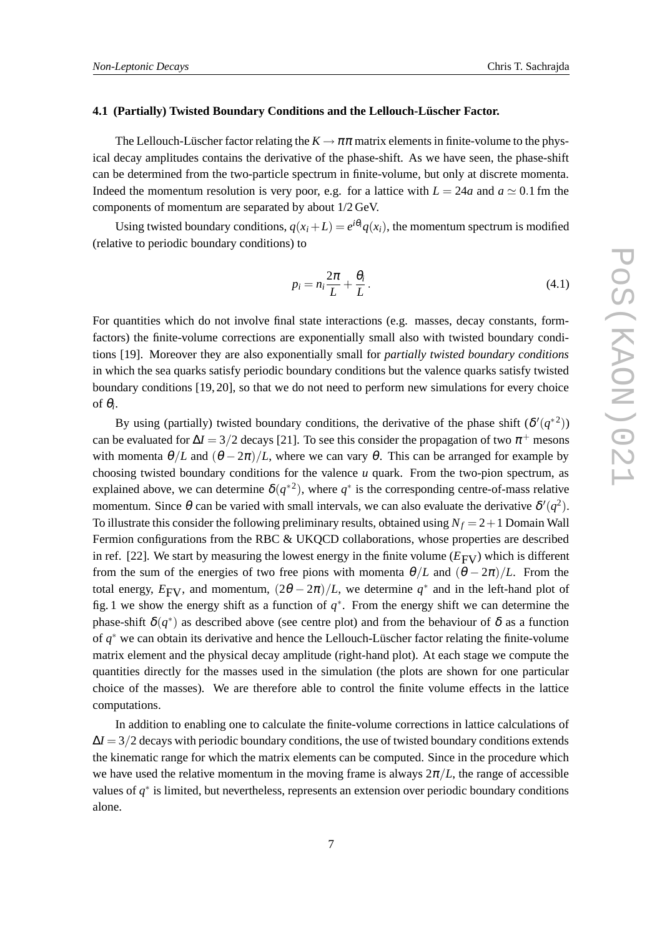#### **4.1 (Partially) Twisted Boundary Conditions and the Lellouch-Lüscher Factor.**

The Lellouch-Lüscher factor relating the  $K \to \pi \pi$  matrix elements in finite-volume to the physical decay amplitudes contains the derivative of the phase-shift. As we have seen, the phase-shift can be determined from the two-particle spectrum in finite-volume, but only at discrete momenta. Indeed the momentum resolution is very poor, e.g. for a lattice with  $L = 24a$  and  $a \approx 0.1$  fm the components of momentum are separated by about 1/2 GeV.

Using twisted boundary conditions,  $q(x_i + L) = e^{i\theta_i} q(x_i)$ , the momentum spectrum is modified (relative to periodic boundary conditions) to

$$
p_i = n_i \frac{2\pi}{L} + \frac{\theta_i}{L} \,. \tag{4.1}
$$

For quantities which do not involve final state interactions (e.g. masses, decay constants, formfactors) the finite-volume corrections are exponentially small also with twisted boundary conditions [19]. Moreover they are also exponentially small for *partially twisted boundary conditions* in which the sea quarks satisfy periodic boundary conditions but the valence quarks satisfy twisted boundary conditions [19, 20], so that we do not need to perform new simulations for every choice of <sup>θ</sup>*<sup>i</sup>* .

By using (partially) twisted boundary conditions, the derivative of the phase shift  $(\delta'(q^{*2}))$ can be evaluated for  $\Delta I = 3/2$  decays [21]. To see this consider the propagation of two  $\pi^+$  mesons with momenta  $\theta/L$  and  $(\theta - 2\pi)/L$ , where we can vary  $\theta$ . This can be arranged for example by choosing twisted boundary conditions for the valence *u* quark. From the two-pion spectrum, as explained above, we can determine  $\delta(q^{*2})$ , where  $q^{*}$  is the corresponding centre-of-mass relative momentum. Since  $\theta$  can be varied with small intervals, we can also evaluate the derivative  $\delta'(q^2)$ . To illustrate this consider the following preliminary results, obtained using  $N_f = 2+1$  Domain Wall Fermion configurations from the RBC & UKQCD collaborations, whose properties are described in ref. [22]. We start by measuring the lowest energy in the finite volume  $(E_{\text{EV}})$  which is different from the sum of the energies of two free pions with momenta  $\theta/L$  and  $(\theta - 2\pi)/L$ . From the total energy,  $E_{\text{FV}}$ , and momentum,  $(2\theta - 2\pi)/L$ , we determine  $q^*$  and in the left-hand plot of fig. 1 we show the energy shift as a function of  $q^*$ . From the energy shift we can determine the phase-shift  $\delta(q^*)$  as described above (see centre plot) and from the behaviour of  $\delta$  as a function of *q* <sup>∗</sup> we can obtain its derivative and hence the Lellouch-Lüscher factor relating the finite-volume matrix element and the physical decay amplitude (right-hand plot). At each stage we compute the quantities directly for the masses used in the simulation (the plots are shown for one particular choice of the masses). We are therefore able to control the finite volume effects in the lattice computations.

In addition to enabling one to calculate the finite-volume corrections in lattice calculations of  $\Delta I = 3/2$  decays with periodic boundary conditions, the use of twisted boundary conditions extends the kinematic range for which the matrix elements can be computed. Since in the procedure which we have used the relative momentum in the moving frame is always  $2\pi/L$ , the range of accessible values of  $q^*$  is limited, but nevertheless, represents an extension over periodic boundary conditions alone.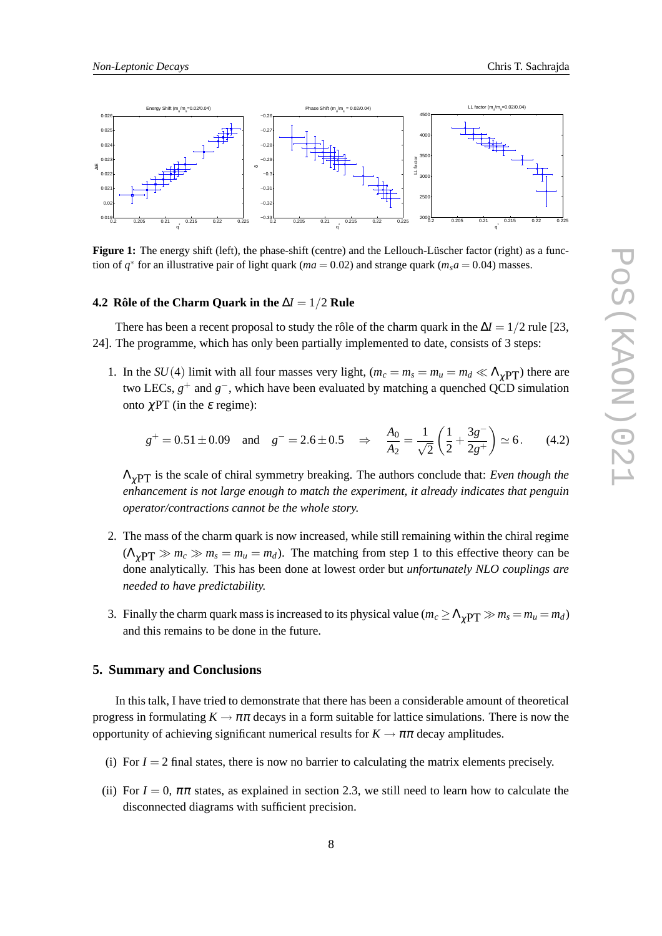

Figure 1: The energy shift (left), the phase-shift (centre) and the Lellouch-Lüscher factor (right) as a function of  $q^*$  for an illustrative pair of light quark (*ma* = 0.02) and strange quark (*m<sub>s</sub>a* = 0.04) masses.

#### **4.2 Rôle of the Charm Quark in the** ∆*I* = 1/2 **Rule**

There has been a recent proposal to study the rôle of the charm quark in the  $\Delta I = 1/2$  rule [23, 24]. The programme, which has only been partially implemented to date, consists of 3 steps:

1. In the *SU*(4) limit with all four masses very light,  $(m_c = m_s = m_u = m_d \ll \Lambda_{\gamma PT})$  there are two LECs,  $g^+$  and  $g^-$ , which have been evaluated by matching a quenched QCD simulation onto  $χ$ PT (in the  $ε$  regime):

$$
g^+ = 0.51 \pm 0.09
$$
 and  $g^- = 2.6 \pm 0.5$   $\Rightarrow$   $\frac{A_0}{A_2} = \frac{1}{\sqrt{2}} \left( \frac{1}{2} + \frac{3g^-}{2g^+} \right) \approx 6.$  (4.2)

ΛχPT is the scale of chiral symmetry breaking. The authors conclude that: *Even though the enhancement is not large enough to match the experiment, it already indicates that penguin operator/contractions cannot be the whole story.*

- 2. The mass of the charm quark is now increased, while still remaining within the chiral regime  $(\Lambda_{\gamma PT} \gg m_c \gg m_s = m_u = m_d)$ . The matching from step 1 to this effective theory can be done analytically. This has been done at lowest order but *unfortunately NLO couplings are needed to have predictability.*
- 3. Finally the charm quark mass is increased to its physical value ( $m_c \ge \Lambda_{\gamma PT} \gg m_s = m_u = m_d$ ) and this remains to be done in the future.

#### **5. Summary and Conclusions**

In this talk, I have tried to demonstrate that there has been a considerable amount of theoretical progress in formulating  $K \to \pi \pi$  decays in a form suitable for lattice simulations. There is now the opportunity of achieving significant numerical results for  $K \to \pi \pi$  decay amplitudes.

- (i) For  $I = 2$  final states, there is now no barrier to calculating the matrix elements precisely.
- (ii) For  $I = 0$ ,  $\pi \pi$  states, as explained in section 2.3, we still need to learn how to calculate the disconnected diagrams with sufficient precision.